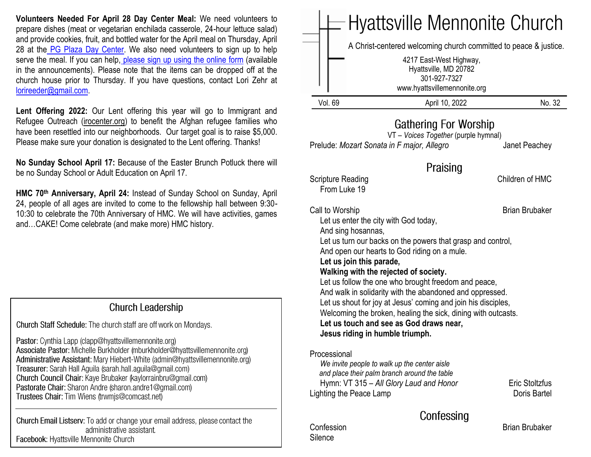**Volunteers Needed For April 28 Day Center Meal:** We need volunteers to prepare dishes (meat or vegetarian enchilada casserole, 24-hour lettuce salad) and provide cookies, fruit, and bottled water for the April meal on Thursday, April 28 at the [PG Plaza Day Center.](https://www.congregationsunited.org/daycenter) We also need volunteers to sign up to help serve the meal. If you can help, [please sign up using the online](https://www.signupgenius.com/go/20f044faaac2fa2ff2-april) form (available in the announcements). Please note that the items can be dropped off at the church house prior to Thursday. If you have questions, contact Lori Zehr at [lorireeder@gmail.com.](mailto:lorireeder@gmail.com)

Lent Offering 2022: Our Lent offering this year will go to Immigrant and Refugee Outreach [\(irocenter.org\)](http://irocenter.org/) to benefit the Afghan refugee families who have been resettled into our neighborhoods. Our target goal is to raise \$5,000. Please make sure your donation is designated to the Lent offering. Thanks!

**No Sunday School April 17:** Because of the Easter Brunch Potluck there will be no Sunday School or Adult Education on April 17.

**HMC 70th Anniversary, April 24:** Instead of Sunday School on Sunday, April 24, people of all ages are invited to come to the fellowship hall between 9:30- 10:30 to celebrate the 70th Anniversary of HMC. We will have activities, games and…CAKE! Come celebrate (and make more) HMC history.

#### **Church Leadership**

Church Staff Schedule: The church staff are off work on Mondays.

Pastor: Cynthia Lapp (clapp@hyattsvillemennonite.org) Associate Pastor: Michelle Burkholder (mburkholder@hyattsvillemennonite.org) Administrative Assistant: Mary Hiebert-White (admin@hyattsvillemennonite.org) Treasurer: Sarah Hall Aguila (sarah.hall.aguila@gmail.com) Church Council Chair: Kaye Brubaker (kaylorrainbru@gmail.com) Pastorate Chair: Sharon Andre (sharon.andre1@gmail.com) Trustees Chair: Tim Wiens (trwmjs@comcast.net)

Church Email Listserv: To add or change your email address, please contact the administrative assistant. Facebook: Hyattsville Mennonite Church